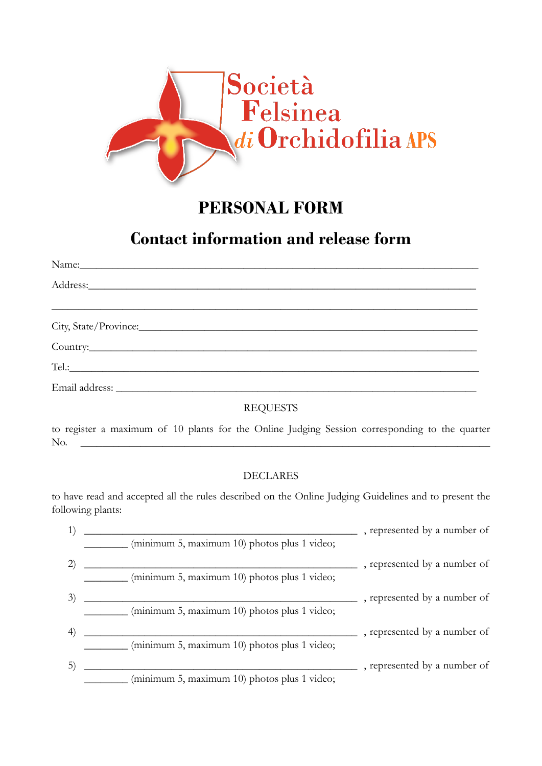

## **PERSONAL FORM**

# **Contact information and release form**

### REQUESTS

to register a maximum of 10 plants for the Online Judging Session corresponding to the quarter No. \_\_\_\_\_\_\_\_\_\_\_\_\_\_\_\_\_\_\_\_\_\_\_\_\_\_\_\_\_\_\_\_\_\_\_\_\_\_\_\_\_\_\_\_\_\_\_\_\_\_\_\_\_\_\_\_\_\_\_\_\_\_\_\_\_\_\_\_\_\_\_\_\_\_\_

#### DECLARES

to have read and accepted all the rules described on the Online Judging Guidelines and to present the following plants:

|                  |                                              | , represented by a number of |
|------------------|----------------------------------------------|------------------------------|
|                  | (minimum 5, maximum 10) photos plus 1 video; |                              |
|                  |                                              | , represented by a number of |
|                  | (minimum 5, maximum 10) photos plus 1 video; |                              |
| 3)               |                                              | , represented by a number of |
|                  | (minimum 5, maximum 10) photos plus 1 video; |                              |
| $\left(4\right)$ |                                              | , represented by a number of |
|                  | (minimum 5, maximum 10) photos plus 1 video; |                              |
|                  |                                              | , represented by a number of |
|                  | (minimum 5, maximum 10) photos plus 1 video; |                              |